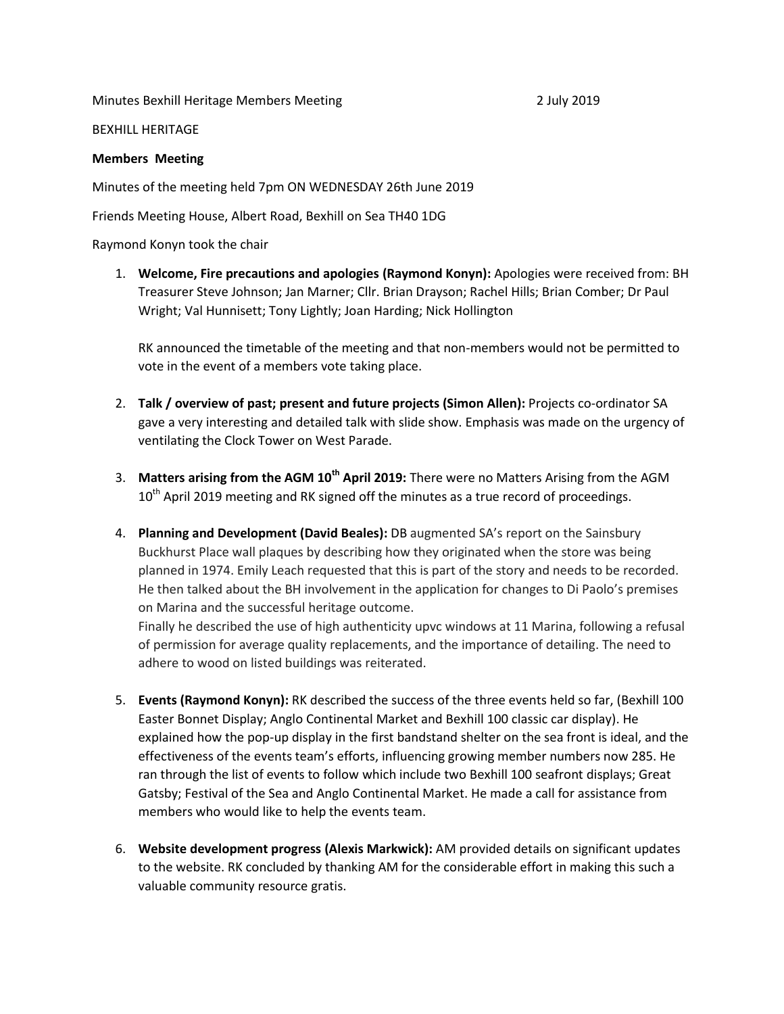Minutes Bexhill Heritage Members Meeting 2 July 2019

BEXHILL HERITAGE

## **Members Meeting**

Minutes of the meeting held 7pm ON WEDNESDAY 26th June 2019

Friends Meeting House, Albert Road, Bexhill on Sea TH40 1DG

Raymond Konyn took the chair

1. **Welcome, Fire precautions and apologies (Raymond Konyn):** Apologies were received from: BH Treasurer Steve Johnson; Jan Marner; Cllr. Brian Drayson; Rachel Hills; Brian Comber; Dr Paul Wright; Val Hunnisett; Tony Lightly; Joan Harding; Nick Hollington

RK announced the timetable of the meeting and that non-members would not be permitted to vote in the event of a members vote taking place.

- 2. **Talk / overview of past; present and future projects (Simon Allen):** Projects co-ordinator SA gave a very interesting and detailed talk with slide show. Emphasis was made on the urgency of ventilating the Clock Tower on West Parade.
- 3. **Matters arising from the AGM 10th April 2019:** There were no Matters Arising from the AGM  $10<sup>th</sup>$  April 2019 meeting and RK signed off the minutes as a true record of proceedings.
- 4. **Planning and Development (David Beales):** DB augmented SA's report on the Sainsbury Buckhurst Place wall plaques by describing how they originated when the store was being planned in 1974. Emily Leach requested that this is part of the story and needs to be recorded. He then talked about the BH involvement in the application for changes to Di Paolo's premises on Marina and the successful heritage outcome.

Finally he described the use of high authenticity upvc windows at 11 Marina, following a refusal of permission for average quality replacements, and the importance of detailing. The need to adhere to wood on listed buildings was reiterated.

- 5. **Events (Raymond Konyn):** RK described the success of the three events held so far, (Bexhill 100 Easter Bonnet Display; Anglo Continental Market and Bexhill 100 classic car display). He explained how the pop-up display in the first bandstand shelter on the sea front is ideal, and the effectiveness of the events team's efforts, influencing growing member numbers now 285. He ran through the list of events to follow which include two Bexhill 100 seafront displays; Great Gatsby; Festival of the Sea and Anglo Continental Market. He made a call for assistance from members who would like to help the events team.
- 6. **Website development progress (Alexis Markwick):** AM provided details on significant updates to the website. RK concluded by thanking AM for the considerable effort in making this such a valuable community resource gratis.